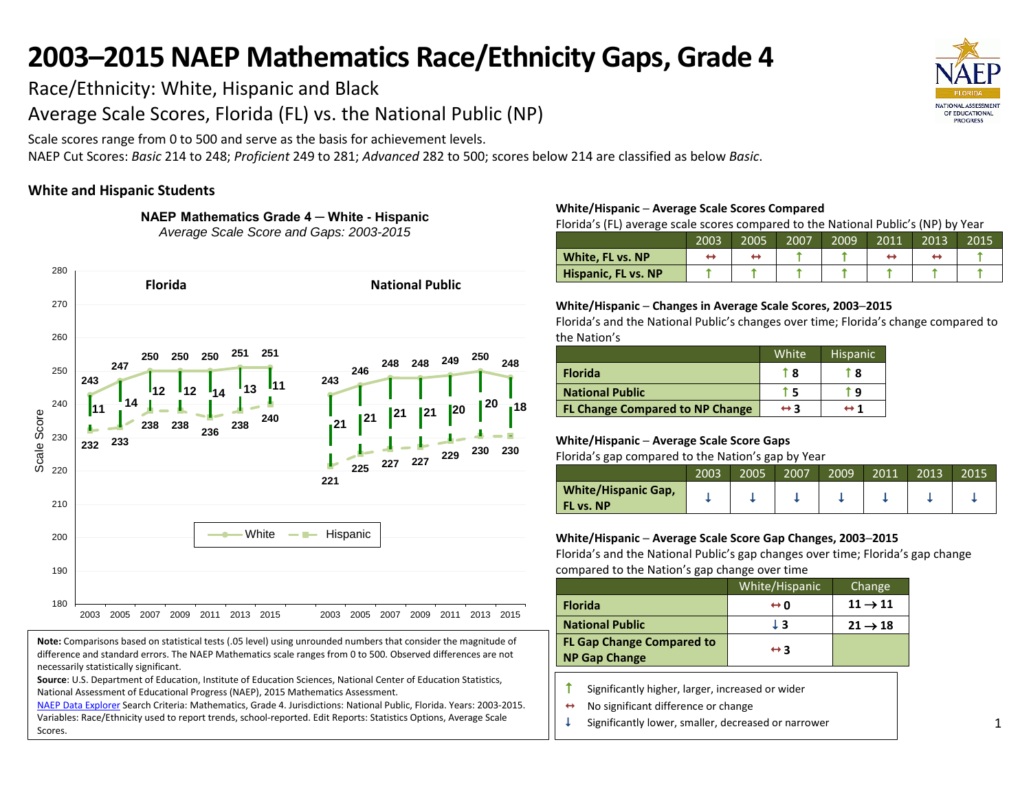Race/Ethnicity: White, Hispanic and Black

Average Scale Scores, Florida (FL) vs. the National Public (NP)

Scale scores range from 0 to 500 and serve as the basis for achievement levels.

NAEP Cut Scores: *Basic* 214 to 248; *Proficient* 249 to 281; *Advanced* 282 to 500; scores below 214 are classified as below *Basic*.

## **White and Hispanic Students**

**NAEP Mathematics Grade 4 ─ White - Hispanic** *Average Scale Score and Gaps: 2003-2015*



**Note:** Comparisons based on statistical tests (.05 level) using unrounded numbers that consider the magnitude of difference and standard errors. The NAEP Mathematics scale ranges from 0 to 500. Observed differences are not necessarily statistically significant.

**Source**: U.S. Department of Education, Institute of Education Sciences, National Center of Education Statistics, National Assessment of Educational Progress (NAEP), 2015 Mathematics Assessment.

[NAEP Data Explorer](http://nces.ed.gov/nationsreportcard/naepdata/) Search Criteria: Mathematics, Grade 4. Jurisdictions: National Public, Florida. Years: 2003-2015. Variables: Race/Ethnicity used to report trends, school-reported. Edit Reports: Statistics Options, Average Scale Scores.

#### **White/Hispanic ─ Average Scale Scores Compared**

Florida's (FL) average scale scores compared to the National Public's (NP) by Year

|                            | 2003 | 2005 | 2007 | 2009 | 2011 | 2013 | 2015 |
|----------------------------|------|------|------|------|------|------|------|
| White, FL vs. NP           |      |      |      |      |      |      |      |
| <b>Hispanic, FL vs. NP</b> |      |      |      |      |      |      |      |

## **White/Hispanic ─ Changes in Average Scale Scores, 2003─2015**

Florida's and the National Public's changes over time; Florida's change compared to the Nation's

|                                        | White               | <b>Hispanic</b>     |
|----------------------------------------|---------------------|---------------------|
| <b>Florida</b>                         | 1 R                 | r 8                 |
| <b>National Public</b>                 |                     | q                   |
| <b>FL Change Compared to NP Change</b> | $\leftrightarrow$ 3 | $\leftrightarrow$ 1 |

## **White/Hispanic ─ Average Scale Score Gaps**

Florida's gap compared to the Nation's gap by Year

|                                         | 2003 | 2005 | 2007 | 2009 | 2011 | 2013 | 2015 |
|-----------------------------------------|------|------|------|------|------|------|------|
| <b>White/Hispanic Gap,</b><br>FL vs. NP |      |      |      |      |      |      |      |

## **White/Hispanic ─ Average Scale Score Gap Changes, 2003─2015**

|                                                          | White/Hispanic      | Change              |
|----------------------------------------------------------|---------------------|---------------------|
| <b>Florida</b>                                           | ⇔ o                 | $11 \rightarrow 11$ |
| <b>National Public</b>                                   | JЗ                  | $21 \rightarrow 18$ |
| <b>FL Gap Change Compared to</b><br><b>NP Gap Change</b> | $\leftrightarrow$ 3 |                     |

- $\uparrow$  Significantly higher, larger, increased or wider
- No significant difference or change
- $\downarrow$  Significantly lower, smaller, decreased or narrower

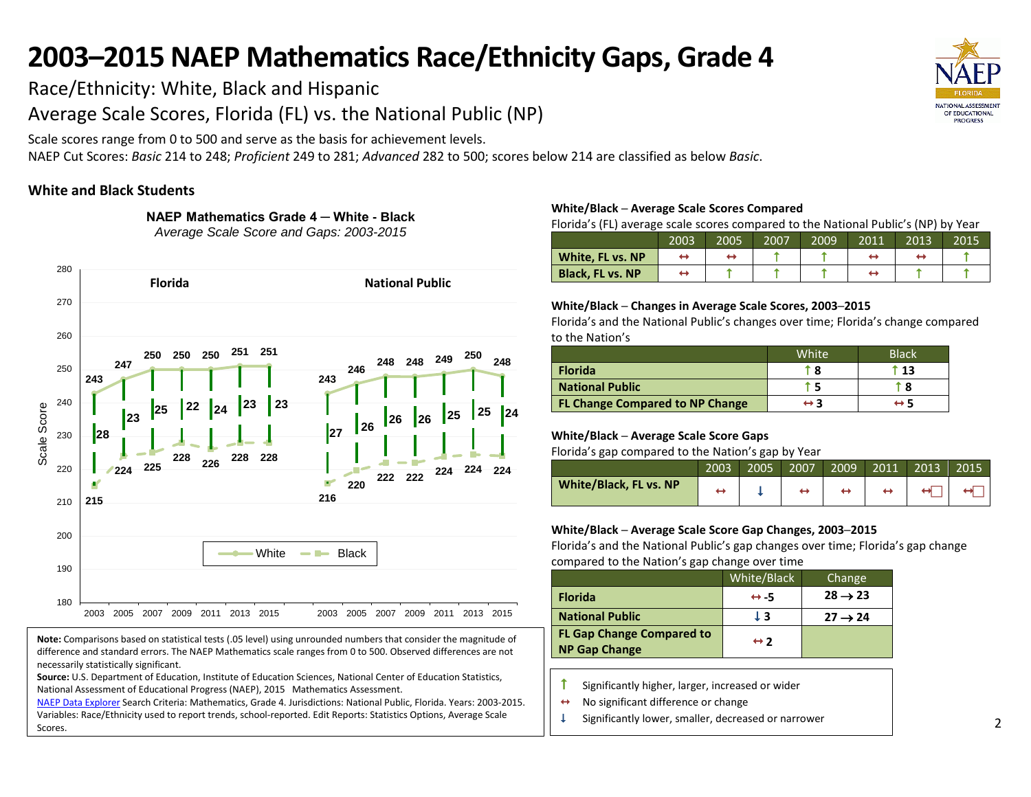Race/Ethnicity: White, Black and Hispanic

Average Scale Scores, Florida (FL) vs. the National Public (NP)

**NAEP Mathematics Grade 4 ─ White - Black**

Scale scores range from 0 to 500 and serve as the basis for achievement levels.

NAEP Cut Scores: *Basic* 214 to 248; *Proficient* 249 to 281; *Advanced* 282 to 500; scores below 214 are classified as below *Basic*.

## **White and Black Students**



**Note:** Comparisons based on statistical tests (.05 level) using unrounded numbers that consider the magnitude of difference and standard errors. The NAEP Mathematics scale ranges from 0 to 500. Observed differences are not necessarily statistically significant.

**Source:** U.S. Department of Education, Institute of Education Sciences, National Center of Education Statistics, National Assessment of Educational Progress (NAEP), 2015 Mathematics Assessment.

[NAEP Data Explorer](http://nces.ed.gov/nationsreportcard/naepdata/) Search Criteria: Mathematics, Grade 4. Jurisdictions: National Public, Florida. Years: 2003-2015. Variables: Race/Ethnicity used to report trends, school-reported. Edit Reports: Statistics Options, Average Scale Scores.

## **White/Black ─ Average Scale Scores Compared**

Florida's (FL) average scale scores compared to the National Public's (NP) by Year

|                         | 2003 | 2005 | 2007 | 2009 | 2011 | 2013 | 2015 |
|-------------------------|------|------|------|------|------|------|------|
| White, FL vs. NP        |      |      |      |      |      |      |      |
| <b>Black, FL vs. NP</b> |      |      |      |      |      |      |      |

## **White/Black ─ Changes in Average Scale Scores, 2003─2015**

Florida's and the National Public's changes over time; Florida's change compared to the Nation's

|                                        | White               | <b>Black</b>  |
|----------------------------------------|---------------------|---------------|
| <b>Florida</b>                         |                     | $^{\circ}$ 13 |
| <b>National Public</b>                 |                     | i 8           |
| <b>FL Change Compared to NP Change</b> | $\leftrightarrow$ 3 |               |

## **White/Black ─ Average Scale Score Gaps**

Florida's gap compared to the Nation's gap by Year

| -                      |      |      |      |      |      |      |      |
|------------------------|------|------|------|------|------|------|------|
|                        | 2003 | 2005 | 2007 | 2009 | 2011 | 2013 | 2015 |
| White/Black, FL vs. NP |      |      |      |      |      |      |      |

## **White/Black ─ Average Scale Score Gap Changes, 2003─2015**

|                                                          | White/Black         | Change              |
|----------------------------------------------------------|---------------------|---------------------|
| <b>Florida</b>                                           | $leftrightarrow -5$ | $28 \rightarrow 23$ |
| <b>National Public</b>                                   | ŀЗ                  | $27 \rightarrow 24$ |
| <b>FL Gap Change Compared to</b><br><b>NP Gap Change</b> | $leftrightarrow$ 2  |                     |

- $\uparrow$  Significantly higher, larger, increased or wider
- $\leftrightarrow$  No significant difference or change
- $\downarrow$  Significantly lower, smaller, decreased or narrower

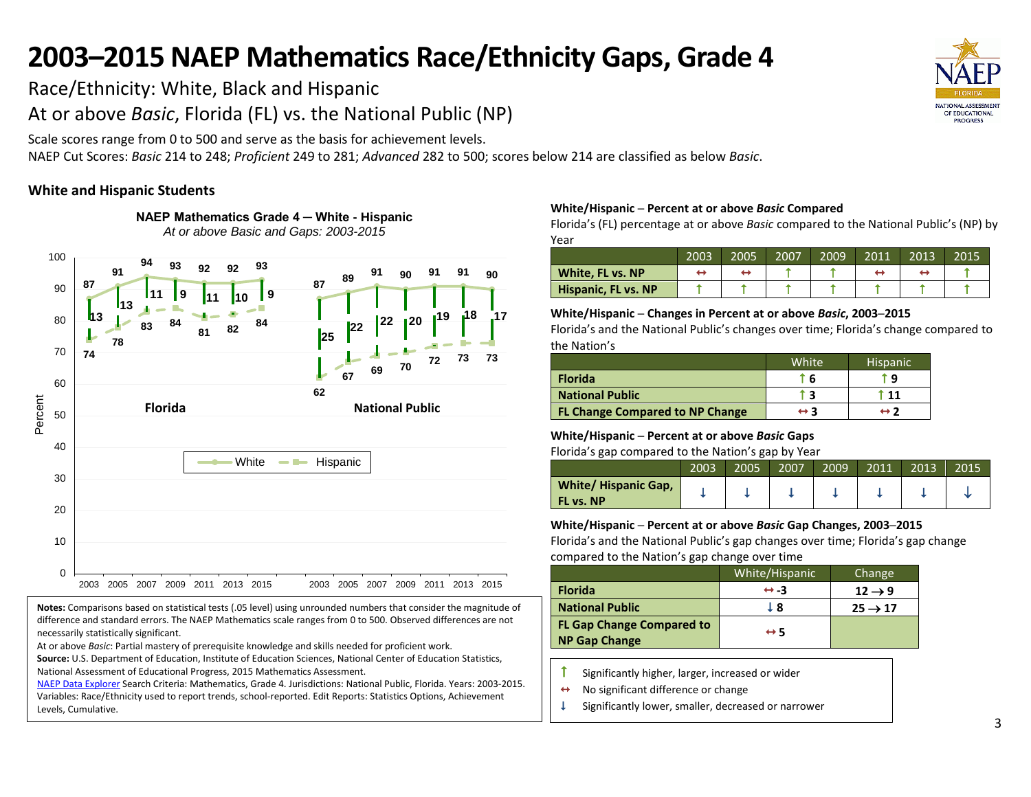Race/Ethnicity: White, Black and Hispanic

At or above *Basic*, Florida (FL) vs. the National Public (NP)

**NAEP Mathematics Grade 4 ─ White - Hispanic**

Scale scores range from 0 to 500 and serve as the basis for achievement levels.

NAEP Cut Scores: *Basic* 214 to 248; *Proficient* 249 to 281; *Advanced* 282 to 500; scores below 214 are classified as below *Basic*.

## **White and Hispanic Students**



**Notes:** Comparisons based on statistical tests (.05 level) using unrounded numbers that consider the magnitude of difference and standard errors. The NAEP Mathematics scale ranges from 0 to 500. Observed differences are not necessarily statistically significant.

At or above *Basic*: Partial mastery of prerequisite knowledge and skills needed for proficient work.

**Source:** U.S. Department of Education, Institute of Education Sciences, National Center of Education Statistics, National Assessment of Educational Progress, 2015 Mathematics Assessment.

[NAEP Data Explorer](http://nces.ed.gov/nationsreportcard/naepdata/) Search Criteria: Mathematics, Grade 4. Jurisdictions: National Public, Florida. Years: 2003-2015. Variables: Race/Ethnicity used to report trends, school-reported. Edit Reports: Statistics Options, Achievement Levels, Cumulative.

## **White/Hispanic ─ Percent at or above** *Basic* **Compared**

Florida's (FL) percentage at or above *Basic* compared to the National Public's (NP) by Year

|                     | 2003 | 2005 | 2007 | 2009 | 2011 | 2013 | 2015 |
|---------------------|------|------|------|------|------|------|------|
| White, FL vs. NP    |      |      |      |      |      |      |      |
| Hispanic, FL vs. NP |      |      |      |      |      |      |      |

## **White/Hispanic ─ Changes in Percent at or above** *Basic***, 2003─2015**

Florida's and the National Public's changes over time; Florida's change compared to the Nation's

|                                        | White <sup>'</sup>  | <b>Hispanic</b> |
|----------------------------------------|---------------------|-----------------|
| <b>Florida</b>                         | - 6                 | ٠q              |
| <b>National Public</b>                 |                     | l 11            |
| <b>FL Change Compared to NP Change</b> | $\leftrightarrow$ 3 | ↔ ?             |

## **White/Hispanic ─ Percent at or above** *Basic* **Gaps**

Florida's gap compared to the Nation's gap by Year

|                                                | 2003 | 2005 | 2007 | 2009 | 2011 | 2013 | 2015 |
|------------------------------------------------|------|------|------|------|------|------|------|
| <b>White/Hispanic Gap,</b><br><b>FL vs. NP</b> |      |      |      |      |      |      |      |

## **White/Hispanic ─ Percent at or above** *Basic* **Gap Changes, 2003─2015**

|                                                          | White/Hispanic      | Change              |
|----------------------------------------------------------|---------------------|---------------------|
| <b>Florida</b>                                           | $leftrightarrow -3$ | $12 \rightarrow 9$  |
| <b>National Public</b>                                   | l 8                 | $25 \rightarrow 17$ |
| <b>FL Gap Change Compared to</b><br><b>NP Gap Change</b> | $\leftrightarrow$ 5 |                     |

- $\uparrow$  Significantly higher, larger, increased or wider
- $\leftrightarrow$  No significant difference or change
- $\downarrow$  Significantly lower, smaller, decreased or narrower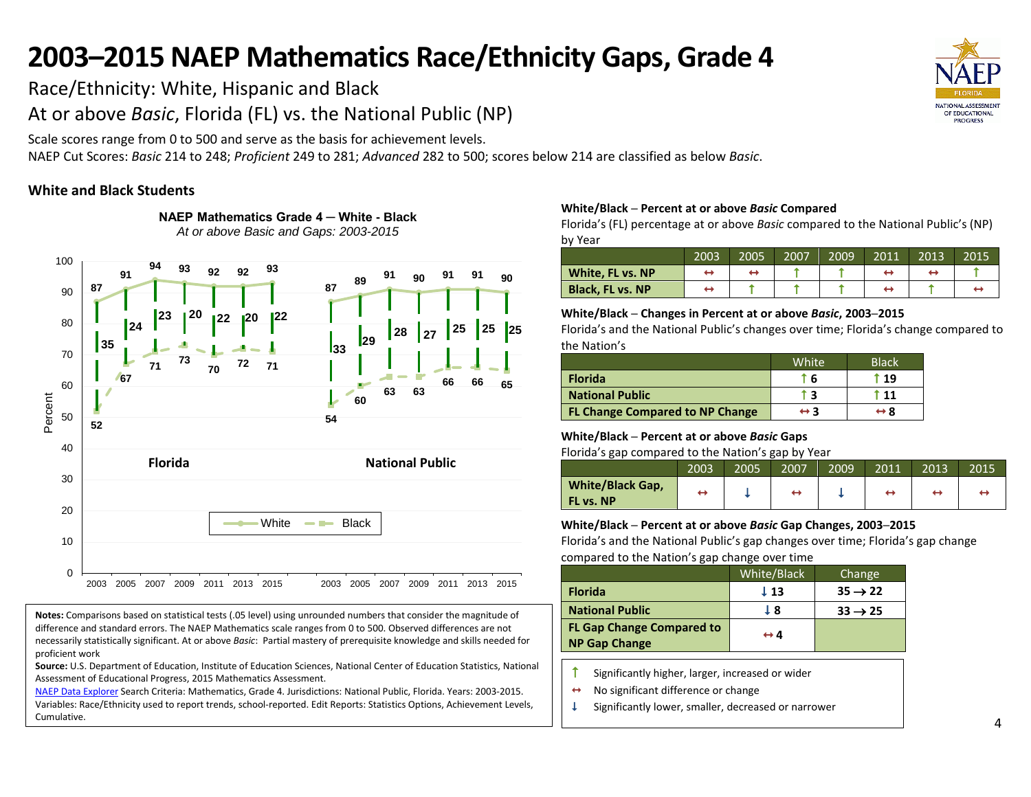Race/Ethnicity: White, Hispanic and Black

At or above *Basic*, Florida (FL) vs. the National Public (NP)

**NAEP Mathematics Grade 4 ─ White - Black**

Scale scores range from 0 to 500 and serve as the basis for achievement levels.

NAEP Cut Scores: *Basic* 214 to 248; *Proficient* 249 to 281; *Advanced* 282 to 500; scores below 214 are classified as below *Basic*.

## **White and Black Students**



**Notes:** Comparisons based on statistical tests (.05 level) using unrounded numbers that consider the magnitude of difference and standard errors. The NAEP Mathematics scale ranges from 0 to 500. Observed differences are not necessarily statistically significant. At or above *Basic*: Partial mastery of prerequisite knowledge and skills needed for proficient work

**Source:** U.S. Department of Education, Institute of Education Sciences, National Center of Education Statistics, National Assessment of Educational Progress, 2015 Mathematics Assessment.

[NAEP Data Explorer](http://nces.ed.gov/nationsreportcard/naepdata/) Search Criteria: Mathematics, Grade 4. Jurisdictions: National Public, Florida. Years: 2003-2015. Variables: Race/Ethnicity used to report trends, school-reported. Edit Reports: Statistics Options, Achievement Levels, Cumulative.

#### **White/Black ─ Percent at or above** *Basic* **Compared**

Florida's (FL) percentage at or above *Basic* compared to the National Public's (NP) by Year

|                         | 2003 | 2005 | 2007 | 2009 | 2011 | 2013 | 2015 |
|-------------------------|------|------|------|------|------|------|------|
| White, FL vs. NP        |      |      |      |      |      |      |      |
| <b>Black, FL vs. NP</b> |      |      |      |      |      |      |      |

## **White/Black ─ Changes in Percent at or above** *Basic***, 2003─2015**

Florida's and the National Public's changes over time; Florida's change compared to the Nation's

|                                        | White               | <b>Black</b> |
|----------------------------------------|---------------------|--------------|
| <b>Florida</b>                         | 6                   | f 19         |
| <b>National Public</b>                 | i 3                 | t 11         |
| <b>FL Change Compared to NP Change</b> | $\leftrightarrow$ 3 | ↔ 8          |

## **White/Black ─ Percent at or above** *Basic* **Gaps**

Florida's gap compared to the Nation's gap by Year

| ີ                                    |      |      |      |      |      |      |      |
|--------------------------------------|------|------|------|------|------|------|------|
|                                      | 2003 | 2005 | 2007 | 2009 | 2011 | 2013 | 2015 |
| <b>White/Black Gap,</b><br>FL vs. NP | ⊷    |      | ↔    |      | ↔    |      |      |

## **White/Black ─ Percent at or above** *Basic* **Gap Changes, 2003─2015**

|                                                          | White/Black         | Change              |
|----------------------------------------------------------|---------------------|---------------------|
| <b>Florida</b>                                           | $\perp$ 13          | $35 \rightarrow 22$ |
| <b>National Public</b>                                   | T 8                 | $33 \rightarrow 25$ |
| <b>FL Gap Change Compared to</b><br><b>NP Gap Change</b> | $\leftrightarrow$ 4 |                     |

- $\uparrow$  Significantly higher, larger, increased or wider
- $\leftrightarrow$  No significant difference or change
- $\downarrow$  Significantly lower, smaller, decreased or narrower

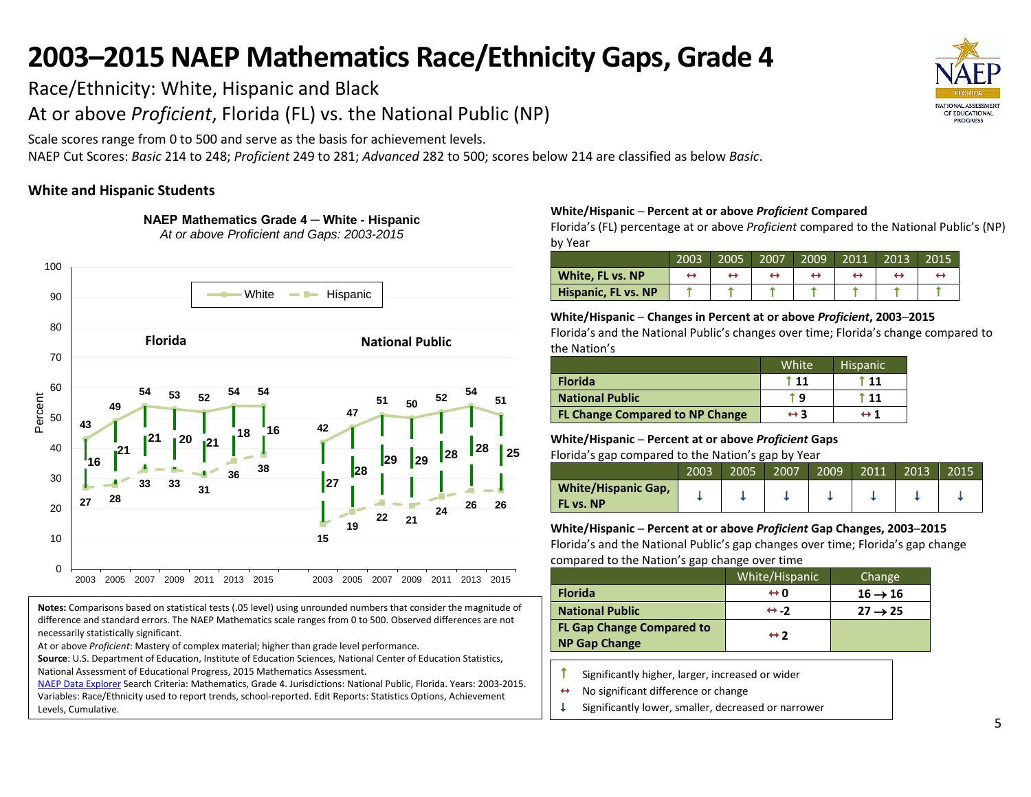Race/Ethnicity: White, Hispanic and Black

At or above *Proficient*, Florida (FL) vs. the National Public (NP)

**NAEP Mathematics Grade 4 ─ White - Hispanic** *At or above Proficient and Gaps: 2003-2015*

Scale scores range from 0 to 500 and serve as the basis for achievement levels.

NAEP Cut Scores: *Basic* 214 to 248; *Proficient* 249 to 281; *Advanced* 282 to 500; scores below 214 are classified as below *Basic*.

## **White and Hispanic Students**



**Notes:** Comparisons based on statistical tests (.05 level) using unrounded numbers that consider the magnitude of difference and standard errors. The NAEP Mathematics scale ranges from 0 to 500. Observed differences are not necessarily statistically significant.

At or above *Proficient*: Mastery of complex material; higher than grade level performance.

**Source**: U.S. Department of Education, Institute of Education Sciences, National Center of Education Statistics, National Assessment of Educational Progress, 2015 Mathematics Assessment.

National Assessment of Educational Progress, 2015 Mathematics Assessment.<br><u>[NAEP Data Explorer](http://nces.ed.gov/nationsreportcard/naepdata/)</u> Search Criteria: Mathematics, Grade 4. Jurisdictions: National Public, Florida. Years: 2003-2015. Variables: Race/Ethnicity used to report trends, school-reported. Edit Reports: Statistics Options, Achievement Levels, Cumulative.

#### **White/Hispanic ─ Percent at or above** *Proficient* **Compared**

Florida's (FL) percentage at or above *Proficient* compared to the National Public's (NP) by Year

|                     | 2003 | 2005 | 2007 | 2009 | 2011 | 2013 | 2015 |
|---------------------|------|------|------|------|------|------|------|
| White, FL vs. NP    |      |      |      |      |      |      |      |
| Hispanic, FL vs. NP |      |      |      |      |      |      |      |

## **White/Hispanic ─ Changes in Percent at or above** *Proficient***, 2003─2015**

Florida's and the National Public's changes over time; Florida's change compared to the Nation's

|                                        | White <sup>1</sup>  | <b>Hispanic</b>     |
|----------------------------------------|---------------------|---------------------|
| <b>Florida</b>                         | t 11                | t 11                |
| National Public                        | га                  | T 11                |
| <b>FL Change Compared to NP Change</b> | $\leftrightarrow$ 3 | $\leftrightarrow$ 1 |

## **White/Hispanic ─ Percent at or above** *Proficient* **Gaps**

Florida's gap compared to the Nation's gap by Year

|                                                | 2003 | 2005 | 2007 | 2009 | 2011 | 2013 | 2015 |
|------------------------------------------------|------|------|------|------|------|------|------|
| <b>White/Hispanic Gap,</b><br><b>FL vs. NP</b> |      |      |      |      |      |      |      |

**White/Hispanic ─ Percent at or above** *Proficient* **Gap Changes, 2003─2015** Florida's and the National Public's gap changes over time; Florida's gap change

compared to the Nation's gap change over time

|                                                          | White/Hispanic      | Change              |
|----------------------------------------------------------|---------------------|---------------------|
| <b>Florida</b>                                           | ⇔ n                 | $16 \rightarrow 16$ |
| <b>National Public</b>                                   | $leftrightarrow -2$ | $27 \rightarrow 25$ |
| <b>FL Gap Change Compared to</b><br><b>NP Gap Change</b> | $leftrightarrow$ 2  |                     |

 $\uparrow$  Significantly higher, larger, increased or wider

- $\leftrightarrow$  No significant difference or change
- $\downarrow$  Significantly lower, smaller, decreased or narrower